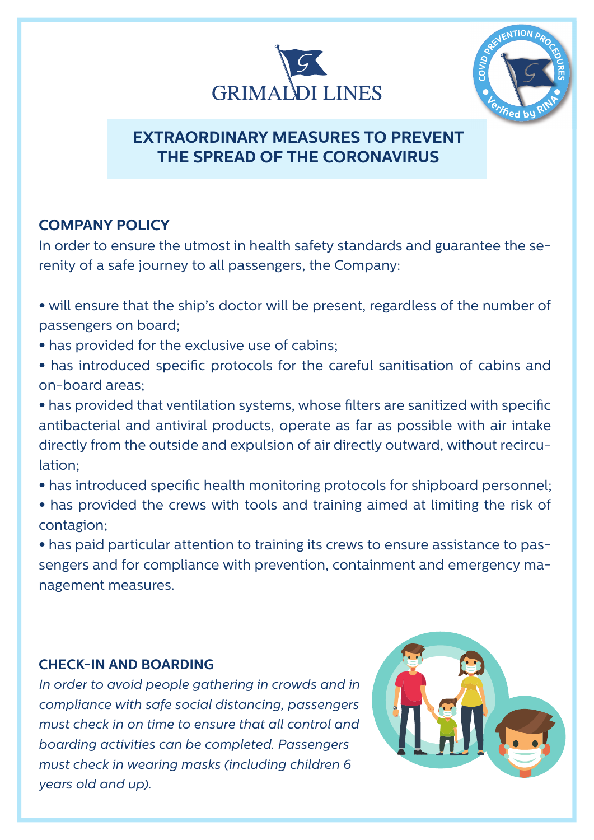



# **EXTRAORDINARY MEASURES TO PREVENT THE SPREAD OF THE CORONAVIRUS**

## **COMPANY POLICY**

In order to ensure the utmost in health safety standards and guarantee the serenity of a safe journey to all passengers, the Company:

- will ensure that the ship's doctor will be present, regardless of the number of passengers on board;
- has provided for the exclusive use of cabins;
- has introduced specific protocols for the careful sanitisation of cabins and on-board areas;

• has provided that ventilation systems, whose filters are sanitized with specific antibacterial and antiviral products, operate as far as possible with air intake directly from the outside and expulsion of air directly outward, without recirculation;

- has introduced specific health monitoring protocols for shipboard personnel;
- has provided the crews with tools and training aimed at limiting the risk of contagion;

• has paid particular attention to training its crews to ensure assistance to passengers and for compliance with prevention, containment and emergency management measures.

#### **CHECK-IN AND BOARDING**

*In order to avoid people gathering in crowds and in compliance with safe social distancing, passengers must check in on time to ensure that all control and boarding activities can be completed. Passengers must check in wearing masks (including children 6 years old and up).*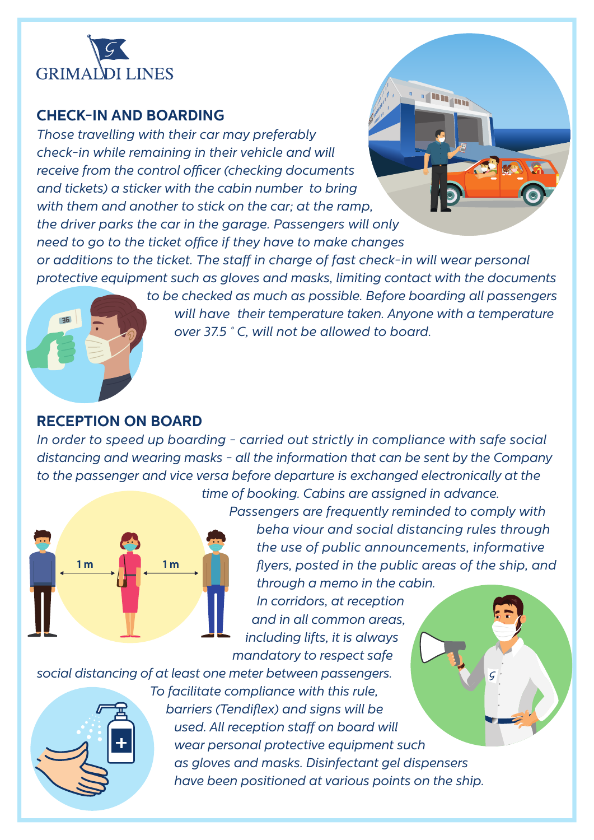

#### **CHECK-IN AND BOARDING**

*Those travelling with their car may preferably check-in while remaining in their vehicle and will*  receive from the control officer (checking documents *and tickets) a sticker with the cabin number to bring with them and another to stick on the car; at the ramp, the driver parks the car in the garage. Passengers will only need to go to the ticket office if they have to make changes* 

or additions to the ticket. The staff in charge of fast check-in will wear personal *protective equipment such as gloves and masks, limiting contact with the documents* 

> *to be checked as much as possible. Before boarding all passengers will have their temperature taken. Anyone with a temperature over 37.5 ° C, will not be allowed to board.*

### **RECEPTION ON BOARD**

*In order to speed up boarding - carried out strictly in compliance with safe social distancing and wearing masks - all the information that can be sent by the Company to the passenger and vice versa before departure is exchanged electronically at the time of booking. Cabins are assigned in advance.*



 *Passengers are frequently reminded to comply with beha viour and social distancing rules through the use of public announcements, informative flyers, posted in the public areas of the ship, and* 

du a

 *through a memo in the cabin. In corridors, at reception and in all common areas, including lifts, it is always mandatory to respect safe*

*social distancing of at least one meter between passengers.*



 *To facilitate compliance with this rule,* **barriers (Tendiflex) and signs will be used.** All reception staff on board will  *wear personal protective equipment such as gloves and masks. Disinfectant gel dispensers have been positioned at various points on the ship.*